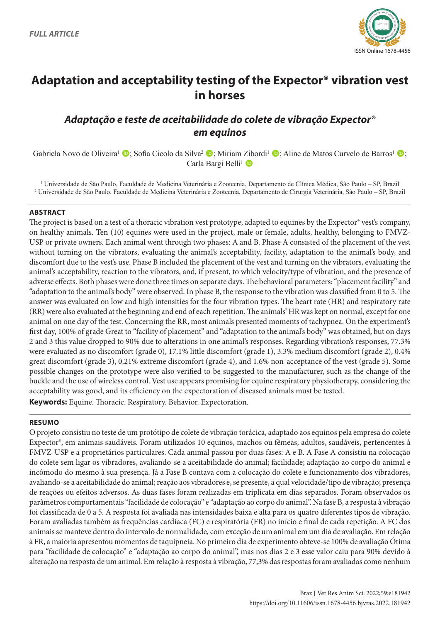

# **Adaptation and acceptability testing of the Expector® vibration vest in horses**

# *Adaptação e teste de aceitabilidade do colete de vibração Expector® em equinos*

Gabriela Novo de Oliveira<sup>1</sup>  $\mathbb{D}$ ; Sofia Cicolo da Silva<sup>2</sup>  $\mathbb{D}$ ; Miriam Zibordi<sup>1</sup>  $\mathbb{D}$ ; Aline de Matos Curvelo de Barros<sup>1</sup>  $\mathbb{D}$ ; Carla Bargi Belli<sup>1</sup>

1 Universidade de São Paulo, Faculdade de Medicina Veterinária e Zootecnia, Departamento de Clínica Médica, São Paulo – SP, Brazil 2 Universidade de São Paulo, Faculdade de Medicina Veterinária e Zootecnia, Departamento de Cirurgia Veterinária, São Paulo – SP, Brazil

#### **ABSTRACT**

The project is based on a test of a thoracic vibration vest prototype, adapted to equines by the Expector® vest's company, on healthy animals. Ten (10) equines were used in the project, male or female, adults, healthy, belonging to FMVZ-USP or private owners. Each animal went through two phases: A and B. Phase A consisted of the placement of the vest without turning on the vibrators, evaluating the animal's acceptability, facility, adaptation to the animal's body, and discomfort due to the vest's use. Phase B included the placement of the vest and turning on the vibrators, evaluating the animal's acceptability, reaction to the vibrators, and, if present, to which velocity/type of vibration, and the presence of adverse effects. Both phases were done three times on separate days. The behavioral parameters: "placement facility" and "adaptation to the animal's body" were observed. In phase B, the response to the vibration was classified from 0 to 5. The answer was evaluated on low and high intensities for the four vibration types. The heart rate (HR) and respiratory rate (RR) were also evaluated at the beginning and end of each repetition. The animals' HR was kept on normal, except for one animal on one day of the test. Concerning the RR, most animals presented moments of tachypnea. On the experiment's first day, 100% of grade Great to "facility of placement" and "adaptation to the animal's body" was obtained, but on days 2 and 3 this value dropped to 90% due to alterations in one animal's responses. Regarding vibration's responses, 77.3% were evaluated as no discomfort (grade 0), 17.1% little discomfort (grade 1), 3.3% medium discomfort (grade 2), 0.4% great discomfort (grade 3), 0.21% extreme discomfort (grade 4), and 1.6% non-acceptance of the vest (grade 5). Some possible changes on the prototype were also verified to be suggested to the manufacturer, such as the change of the buckle and the use of wireless control. Vest use appears promising for equine respiratory physiotherapy, considering the acceptability was good, and its efficiency on the expectoration of diseased animals must be tested. **Keywords:** Equine. Thoracic. Respiratory. Behavior. Expectoration.

#### **RESUMO**

O projeto consistiu no teste de um protótipo de colete de vibração torácica, adaptado aos equinos pela empresa do colete Expector®, em animais saudáveis. Foram utilizados 10 equinos, machos ou fêmeas, adultos, saudáveis, pertencentes à FMVZ-USP e a proprietários particulares. Cada animal passou por duas fases: A e B. A Fase A consistiu na colocação do colete sem ligar os vibradores, avaliando-se a aceitabilidade do animal; facilidade; adaptação ao corpo do animal e incômodo do mesmo à sua presença. Já a Fase B contava com a colocação do colete e funcionamento dos vibradores, avaliando-se a aceitabilidade do animal; reação aos vibradores e, se presente, a qual velocidade/tipo de vibração; presença de reações ou efeitos adversos. As duas fases foram realizadas em triplicata em dias separados. Foram observados os parâmetros comportamentais "facilidade de colocação" e "adaptação ao corpo do animal". Na fase B, a resposta à vibração foi classificada de 0 a 5. A resposta foi avaliada nas intensidades baixa e alta para os quatro diferentes tipos de vibração. Foram avaliadas também as frequências cardíaca (FC) e respiratória (FR) no início e final de cada repetição. A FC dos animais se manteve dentro do intervalo de normalidade, com exceção de um animal em um dia de avaliação. Em relação à FR, a maioria apresentou momentos de taquipneia. No primeiro dia de experimento obteve-se 100% de avaliação Ótima para "facilidade de colocação" e "adaptação ao corpo do animal", mas nos dias 2 e 3 esse valor caiu para 90% devido à alteração na resposta de um animal. Em relação à resposta à vibração, 77,3% das respostas foram avaliadas como nenhum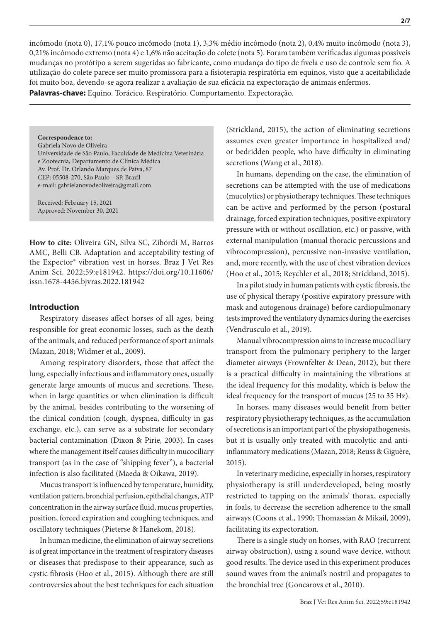incômodo (nota 0), 17,1% pouco incômodo (nota 1), 3,3% médio incômodo (nota 2), 0,4% muito incômodo (nota 3), 0,21% incômodo extremo (nota 4) e 1,6% não aceitação do colete (nota 5). Foram também verificadas algumas possíveis mudanças no protótipo a serem sugeridas ao fabricante, como mudança do tipo de fivela e uso de controle sem fio. A utilização do colete parece ser muito promissora para a fisioterapia respiratória em equinos, visto que a aceitabilidade foi muito boa, devendo-se agora realizar a avaliação de sua eficácia na expectoração de animais enfermos. **Palavras-chave:** Equino. Torácico. Respiratório. Comportamento. Expectoração.

**Correspondence to:** Gabriela Novo de Oliveira Universidade de São Paulo, Faculdade de Medicina Veterinária e Zootecnia, Departamento de Clínica Médica Av. Prof. Dr. Orlando Marques de Paiva, 87 CEP: 05508-270, São Paulo – SP, Brazil e-mail: gabrielanovodeoliveira@gmail.com

Received: February 15, 2021 Approved: November 30, 2021

**How to cite:** Oliveira GN, Silva SC, Zibordi M, Barros AMC, Belli CB. Adaptation and acceptability testing of the Expector® vibration vest in horses. Braz J Vet Res Anim Sci. 2022;59:e181942. https://doi.org/10.11606/ issn.1678-4456.bjvras.2022.181942

#### **Introduction**

Respiratory diseases affect horses of all ages, being responsible for great economic losses, such as the death of the animals, and reduced performance of sport animals (Mazan, 2018; Widmer et al., 2009).

Among respiratory disorders, those that affect the lung, especially infectious and inflammatory ones, usually generate large amounts of mucus and secretions. These, when in large quantities or when elimination is difficult by the animal, besides contributing to the worsening of the clinical condition (cough, dyspnea, difficulty in gas exchange, etc.), can serve as a substrate for secondary bacterial contamination (Dixon & Pirie, 2003). In cases where the management itself causes difficulty in mucociliary transport (as in the case of "shipping fever"), a bacterial infection is also facilitated (Maeda & Oikawa, 2019).

Mucus transport is influenced by temperature, humidity, ventilation pattern, bronchial perfusion, epithelial changes, ATP concentration in the airway surface fluid, mucus properties, position, forced expiration and coughing techniques, and oscillatory techniques (Pieterse & Hanekom, 2018).

In human medicine, the elimination of airway secretions is of great importance in the treatment of respiratory diseases or diseases that predispose to their appearance, such as cystic fibrosis (Hoo et al., 2015). Although there are still controversies about the best techniques for each situation (Strickland, 2015), the action of eliminating secretions assumes even greater importance in hospitalized and/ or bedridden people, who have difficulty in eliminating secretions (Wang et al., 2018).

In humans, depending on the case, the elimination of secretions can be attempted with the use of medications (mucolytics) or physiotherapy techniques. These techniques can be active and performed by the person (postural drainage, forced expiration techniques, positive expiratory pressure with or without oscillation, etc.) or passive, with external manipulation (manual thoracic percussions and vibrocompression), percussive non-invasive ventilation, and, more recently, with the use of chest vibration devices (Hoo et al., 2015; Reychler et al., 2018; Strickland, 2015).

In a pilot study in human patients with cystic fibrosis, the use of physical therapy (positive expiratory pressure with mask and autogenous drainage) before cardiopulmonary tests improved the ventilatory dynamics during the exercises (Vendrusculo et al., 2019).

Manual vibrocompression aims to increase mucociliary transport from the pulmonary periphery to the larger diameter airways (Frownfelter & Dean, 2012), but there is a practical difficulty in maintaining the vibrations at the ideal frequency for this modality, which is below the ideal frequency for the transport of mucus (25 to 35 Hz).

In horses, many diseases would benefit from better respiratory physiotherapy techniques, as the accumulation of secretions is an important part of the physiopathogenesis, but it is usually only treated with mucolytic and antiinflammatory medications (Mazan, 2018; Reuss & Giguère, 2015).

In veterinary medicine, especially in horses, respiratory physiotherapy is still underdeveloped, being mostly restricted to tapping on the animals' thorax, especially in foals, to decrease the secretion adherence to the small airways (Coons et al., 1990; Thomassian & Mikail, 2009), facilitating its expectoration.

There is a single study on horses, with RAO (recurrent airway obstruction), using a sound wave device, without good results. The device used in this experiment produces sound waves from the animal's nostril and propagates to the bronchial tree (Goncarovs et al., 2010).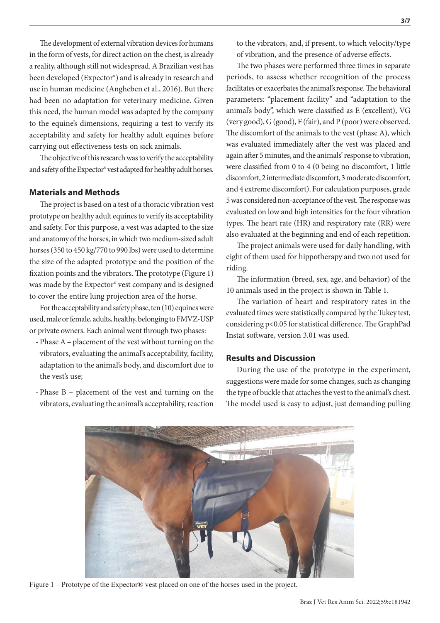The development of external vibration devices for humans in the form of vests, for direct action on the chest, is already a reality, although still not widespread. A Brazilian vest has been developed (Expector®) and is already in research and use in human medicine (Angheben et al., 2016). But there had been no adaptation for veterinary medicine. Given this need, the human model was adapted by the company to the equine's dimensions, requiring a test to verify its acceptability and safety for healthy adult equines before carrying out effectiveness tests on sick animals.

The objective of this research was to verify the acceptability and safety of the Expector® vest adapted for healthy adult horses.

#### **Materials and Methods**

The project is based on a test of a thoracic vibration vest prototype on healthy adult equines to verify its acceptability and safety. For this purpose, a vest was adapted to the size and anatomy of the horses, in which two medium-sized adult horses (350 to 450 kg/770 to 990 lbs) were used to determine the size of the adapted prototype and the position of the fixation points and the vibrators. The prototype (Figure 1) was made by the Expector® vest company and is designed to cover the entire lung projection area of the horse.

For the acceptability and safety phase, ten (10) equines were used, male or female, adults, healthy, belonging to FMVZ-USP or private owners. Each animal went through two phases:

- Phase A placement of the vest without turning on the vibrators, evaluating the animal's acceptability, facility, adaptation to the animal's body, and discomfort due to the vest's use;
- Phase B placement of the vest and turning on the vibrators, evaluating the animal's acceptability, reaction

to the vibrators, and, if present, to which velocity/type of vibration, and the presence of adverse effects.

The two phases were performed three times in separate periods, to assess whether recognition of the process facilitates or exacerbates the animal's response. The behavioral parameters: "placement facility" and "adaptation to the animal's body", which were classified as E (excellent), VG (very good), G (good), F (fair), and P (poor) were observed. The discomfort of the animals to the vest (phase A), which was evaluated immediately after the vest was placed and again after 5 minutes, and the animals' response to vibration, were classified from 0 to 4 (0 being no discomfort, 1 little discomfort, 2 intermediate discomfort, 3 moderate discomfort, and 4 extreme discomfort). For calculation purposes, grade 5 was considered non-acceptance of the vest. The response was evaluated on low and high intensities for the four vibration types. The heart rate (HR) and respiratory rate (RR) were also evaluated at the beginning and end of each repetition.

The project animals were used for daily handling, with eight of them used for hippotherapy and two not used for riding.

The information (breed, sex, age, and behavior) of the 10 animals used in the project is shown in Table 1.

The variation of heart and respiratory rates in the evaluated times were statistically compared by the Tukey test, considering p<0.05 for statistical difference. The GraphPad Instat software, version 3.01 was used.

#### **Results and Discussion**

During the use of the prototype in the experiment, suggestions were made for some changes, such as changing the type of buckle that attaches the vest to the animal's chest. The model used is easy to adjust, just demanding pulling



Figure 1 – Prototype of the Expector® vest placed on one of the horses used in the project.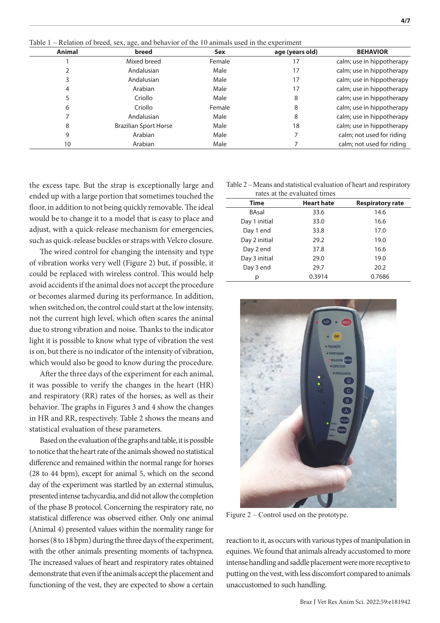Table 1 – Relation of breed, sex, age, and behavior of the 10 animals used in the experiment

| Animal | breed                        | Sex    | age (years old) | <b>BEHAVIOR</b>           |
|--------|------------------------------|--------|-----------------|---------------------------|
|        | Mixed breed                  | Female | 17              | calm; use in hippotherapy |
|        | Andalusian                   | Male   | 17              | calm; use in hippotherapy |
|        | Andalusian                   | Male   | 17              | calm; use in hippotherapy |
| 4      | Arabian                      | Male   | 17              | calm; use in hippotherapy |
|        | Criollo                      | Male   | 8               | calm; use in hippotherapy |
| 6      | Criollo                      | Female | 8               | calm; use in hippotherapy |
|        | Andalusian                   | Male   | 8               | calm; use in hippotherapy |
| 8      | <b>Brazilian Sport Horse</b> | Male   | 18              | calm; use in hippotherapy |
| 9      | Arabian                      | Male   |                 | calm; not used for riding |
| 10     | Arabian                      | Male   |                 | calm; not used for riding |
|        |                              |        |                 |                           |

the excess tape. But the strap is exceptionally large and ended up with a large portion that sometimes touched the floor, in addition to not being quickly removable. The ideal would be to change it to a model that is easy to place and adjust, with a quick-release mechanism for emergencies, such as quick-release buckles or straps with Velcro closure.

The wired control for changing the intensity and type of vibration works very well (Figure 2) but, if possible, it could be replaced with wireless control. This would help avoid accidents if the animal does not accept the procedure or becomes alarmed during its performance. In addition, when switched on, the control could start at the low intensity, not the current high level, which often scares the animal due to strong vibration and noise. Thanks to the indicator light it is possible to know what type of vibration the vest is on, but there is no indicator of the intensity of vibration, which would also be good to know during the procedure.

After the three days of the experiment for each animal, it was possible to verify the changes in the heart (HR) and respiratory (RR) rates of the horses, as well as their behavior. The graphs in Figures 3 and 4 show the changes in HR and RR, respectively. Table 2 shows the means and statistical evaluation of these parameters.

Based on the evaluation of the graphs and table, it is possible to notice that the heart rate of the animals showed no statistical difference and remained within the normal range for horses (28 to 44 bpm), except for animal 5, which on the second day of the experiment was startled by an external stimulus, presented intense tachycardia, and did not allow the completion of the phase B protocol. Concerning the respiratory rate, no statistical difference was observed either. Only one animal (Animal 4) presented values within the normality range for horses (8 to 18 bpm) during the three days of the experiment, with the other animals presenting moments of tachypnea. The increased values of heart and respiratory rates obtained demonstrate that even if the animals accept the placement and functioning of the vest, they are expected to show a certain

Table 2 – Means and statistical evaluation of heart and respiratory

| rates at the evaluated times |                   |                         |  |  |
|------------------------------|-------------------|-------------------------|--|--|
| Time                         | <b>Heart hate</b> | <b>Respiratory rate</b> |  |  |
| <b>BAsal</b>                 | 33.6              | 14.6                    |  |  |
| Day 1 initial                | 33.0              | 16.6                    |  |  |
| Day 1 end                    | 33.8              | 17.0                    |  |  |
| Day 2 initial                | 29.2              | 19.0                    |  |  |
| Day 2 end                    | 37.8              | 16.6                    |  |  |
| Day 3 initial                | 29.0              | 19.0                    |  |  |
| Day 3 end                    | 29.7              | 20.2                    |  |  |
| р                            | 0.3914            | 0.7686                  |  |  |

Figure 2 – Control used on the prototype.

reaction to it, as occurs with various types of manipulation in equines. We found that animals already accustomed to more intense handling and saddle placement were more receptive to putting on the vest, with less discomfort compared to animals unaccustomed to such handling.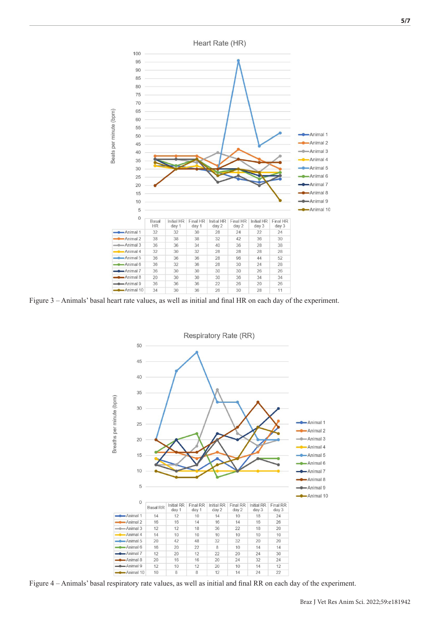Heart Rate (HR) Beats per minute (bpm) -Animal 1 -Animal 2 -Animal 3 Animal 4 Animal 5 Animal 6 Animal 7 Animal 8 Animal 9 Animal 10  $\mathbf 0$ Basa Initial HR Final HR Initial HR Final HR Initial HR Final HR **HR** day 1  $day<sub>1</sub>$  $day<sub>2</sub>$  $day<sub>2</sub>$  $day<sub>3</sub>$  $day<sub>3</sub>$ -Animal 1  $\overline{24}$  $\overline{22}$  $\overline{24}$ -Animal 2 -Animal 3  $\overline{34}$ -Animal 4  $\overline{28}$  $\overline{28}$ -Animal 5  $\frac{1}{24}$ -Animal 6  $\overline{28}$  $\overline{30}$  $Animal 7$  $Animal<sub>8</sub>$  $30^{\circ}$  $-Animal<sub>9</sub>$ Animal 10 

Figure 3 – Animals' basal heart rate values, as well as initial and final HR on each day of the experiment.



Figure 4 – Animals' basal respiratory rate values, as well as initial and final RR on each day of the experiment.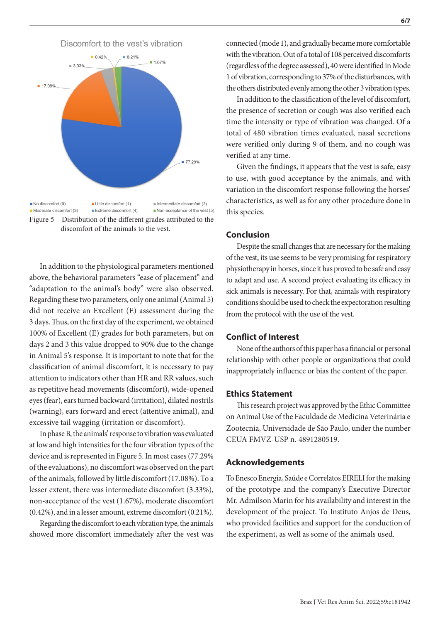

In addition to the physiological parameters mentioned above, the behavioral parameters "ease of placement" and "adaptation to the animal's body" were also observed. Regarding these two parameters, only one animal (Animal 5) did not receive an Excellent (E) assessment during the 3 days. Thus, on the first day of the experiment, we obtained 100% of Excellent (E) grades for both parameters, but on days 2 and 3 this value dropped to 90% due to the change in Animal 5's response. It is important to note that for the classification of animal discomfort, it is necessary to pay attention to indicators other than HR and RR values, such as repetitive head movements (discomfort), wide-opened eyes (fear), ears turned backward (irritation), dilated nostrils (warning), ears forward and erect (attentive animal), and excessive tail wagging (irritation or discomfort).

In phase B, the animals' response to vibration was evaluated at low and high intensities for the four vibration types of the device and is represented in Figure 5. In most cases (77.29% of the evaluations), no discomfort was observed on the part of the animals, followed by little discomfort (17.08%). To a lesser extent, there was intermediate discomfort (3.33%), non-acceptance of the vest (1.67%), moderate discomfort (0.42%), and in a lesser amount, extreme discomfort (0.21%).

Regarding the discomfort to each vibration type, the animals showed more discomfort immediately after the vest was

connected (mode 1), and gradually became more comfortable with the vibration. Out of a total of 108 perceived discomforts (regardless of the degree assessed), 40 were identified in Mode 1 of vibration, corresponding to 37% of the disturbances, with the others distributed evenly among the other 3 vibration types.

In addition to the classification of the level of discomfort, the presence of secretion or cough was also verified each time the intensity or type of vibration was changed. Of a total of 480 vibration times evaluated, nasal secretions were verified only during 9 of them, and no cough was verified at any time.

Given the findings, it appears that the vest is safe, easy to use, with good acceptance by the animals, and with variation in the discomfort response following the horses' characteristics, as well as for any other procedure done in this species.

#### **Conclusion**

Despite the small changes that are necessary for the making of the vest, its use seems to be very promising for respiratory physiotherapy in horses, since it has proved to be safe and easy to adapt and use. A second project evaluating its efficacy in sick animals is necessary. For that, animals with respiratory conditions should be used to check the expectoration resulting from the protocol with the use of the vest.

### **Conflict of Interest**

None of the authors of this paper has a financial or personal relationship with other people or organizations that could inappropriately influence or bias the content of the paper.

#### **Ethics Statement**

This research project was approved by the Ethic Committee on Animal Use of the Faculdade de Medicina Veterinária e Zootecnia, Universidade de São Paulo, under the number CEUA FMVZ-USP n. 4891280519.

#### **Acknowledgements**

To Enesco Energia, Saúde e Correlatos EIRELI for the making of the prototype and the company's Executive Director Mr. Admilson Marin for his availability and interest in the development of the project. To Instituto Anjos de Deus, who provided facilities and support for the conduction of the experiment, as well as some of the animals used.